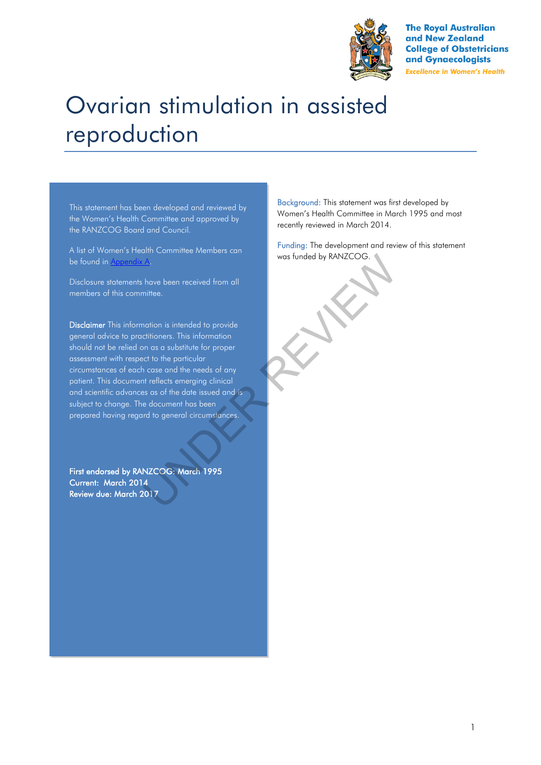

**The Royal Australian** and New Zealand **College of Obstetricians** and Gynaecologists **Excellence in Women's Health** 

# Ovarian stimulation in assisted reproduction

This statement has been developed and reviewed by the Women's Health Committee and approved by the RANZCOG Board and Council.

A list of Women's Health Committee Members can be found in Appendix A.

Disclosure statements have been received from all members of this committee.

Disclaimer This information is intended to provide general advice to practitioners. This information should not be relied on as a substitute for proper assessment with respect to the particular circumstances of each case and the needs of any patient. This document reflects emerging clinical and scientific advances as of the date issued and is subject to change. The document has been prepared having regard to general circumstances. Maxe been received from all<br>
have been received from all<br>
initiee.<br>
Intimentain is intended to provide<br>
intimental intended to provide<br>
In as a substitute for proper<br>
set to the porticular<br>
set of the porticular<br>
In case a

First endorsed by RANZCOG: March 1995 Current: March 2014 Review due: March 2017

Background: This statement was first developed by Women's Health Committee in March 1995 and most recently reviewed in March 2014.

Funding: The development and review of this statement was funded by RANZCOG.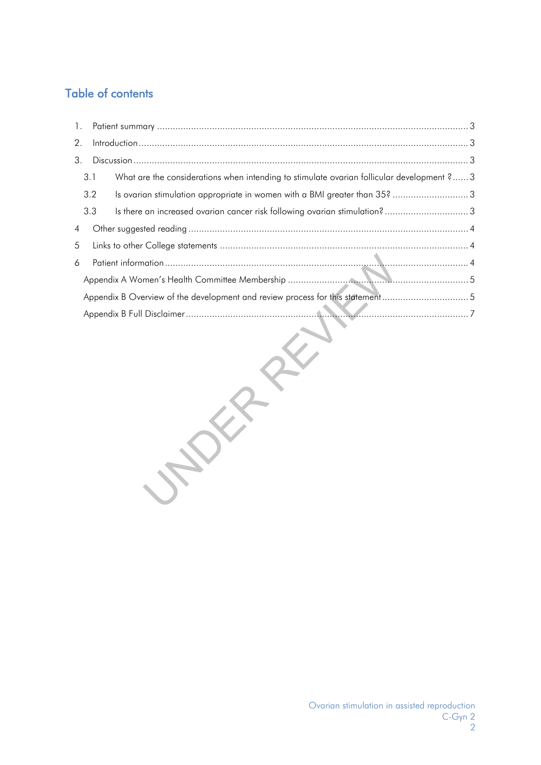# Table of contents

| 1.             |                                                                               |                                                                                            |  |  |  |
|----------------|-------------------------------------------------------------------------------|--------------------------------------------------------------------------------------------|--|--|--|
| 2.             |                                                                               |                                                                                            |  |  |  |
| 3.             |                                                                               |                                                                                            |  |  |  |
|                | 3.1                                                                           | What are the considerations when intending to stimulate ovarian follicular development ? 3 |  |  |  |
|                | 3.2                                                                           | Is ovarian stimulation appropriate in women with a BMI greater than 35?  3                 |  |  |  |
|                | 3.3                                                                           | Is there an increased ovarian cancer risk following ovarian stimulation?3                  |  |  |  |
| $\overline{4}$ |                                                                               |                                                                                            |  |  |  |
| 5              |                                                                               |                                                                                            |  |  |  |
| 6              |                                                                               |                                                                                            |  |  |  |
|                |                                                                               |                                                                                            |  |  |  |
|                | Appendix B Overview of the development and review process for this statement5 |                                                                                            |  |  |  |
|                |                                                                               |                                                                                            |  |  |  |
|                |                                                                               |                                                                                            |  |  |  |

VALDER RE[VI](#page-6-0)[E](#page-4-1)[W](#page-3-2)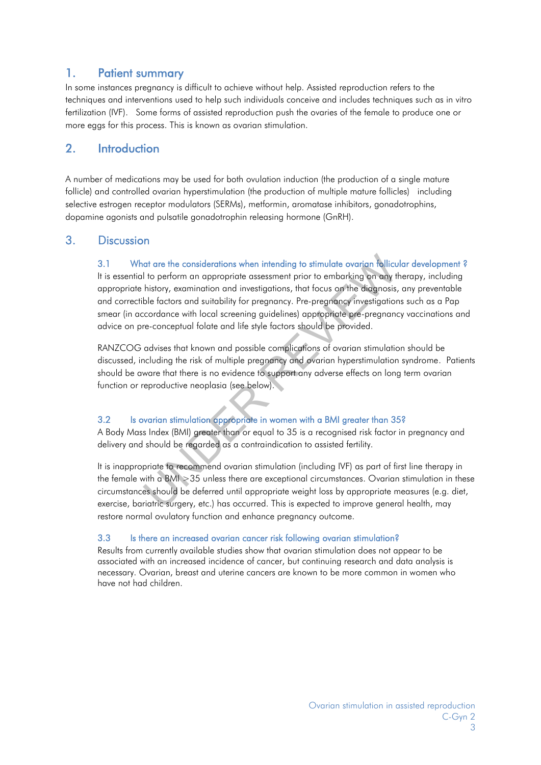## <span id="page-2-0"></span>1. Patient summary

In some instances pregnancy is difficult to achieve without help. Assisted reproduction refers to the techniques and interventions used to help such individuals conceive and includes techniques such as in vitro fertilization (IVF). Some forms of assisted reproduction push the ovaries of the female to produce one or more eggs for this process. This is known as ovarian stimulation.

## <span id="page-2-1"></span>2. Introduction

A number of medications may be used for both ovulation induction (the production of a single mature follicle) and controlled ovarian hyperstimulation (the production of multiple mature follicles) including selective estrogen receptor modulators (SERMs), metformin, aromatase inhibitors, gonadotrophins, dopamine agonists and pulsatile gonadotrophin releasing hormone (GnRH).

## <span id="page-2-3"></span><span id="page-2-2"></span>3. Discussion

## 3.1 What are the considerations when intending to stimulate ovarian follicular development?

It is essential to perform an appropriate assessment prior to embarking on any therapy, including appropriate history, examination and investigations, that focus on the diagnosis, any preventable and correctible factors and suitability for pregnancy. Pre-pregnancy investigations such as a Pap smear (in accordance with local screening guidelines) appropriate pre-pregnancy vaccinations and advice on pre-conceptual folate and life style factors should be provided. or are the considerations when intending to stimulate ovarian follicul<br>to perform an appropriate assessment prior to embarking on any thistory, examination and investigations, that focus on the diagnosis,<br>ble factors and s

RANZCOG advises that known and possible complications of ovarian stimulation should be discussed, including the risk of multiple pregnancy and ovarian hyperstimulation syndrome. Patients should be aware that there is no evidence to support any adverse effects on long term ovarian function or reproductive neoplasia (see below).

#### <span id="page-2-4"></span>3.2 Is ovarian stimulation appropriate in women with a BMI greater than 35?

A Body Mass Index (BMI) greater than or equal to 35 is a recognised risk factor in pregnancy and delivery and should be regarded as a contraindication to assisted fertility.

It is inappropriate to recommend ovarian stimulation (including IVF) as part of first line therapy in the female with a BMI >35 unless there are exceptional circumstances. Ovarian stimulation in these circumstances should be deferred until appropriate weight loss by appropriate measures (e.g. diet, exercise, bariatric surgery, etc.) has occurred. This is expected to improve general health, may restore normal ovulatory function and enhance pregnancy outcome.

#### <span id="page-2-5"></span>3.3 Is there an increased ovarian cancer risk following ovarian stimulation?

Results from currently available studies show that ovarian stimulation does not appear to be associated with an increased incidence of cancer, but continuing research and data analysis is necessary. Ovarian, breast and uterine cancers are known to be more common in women who have not had children.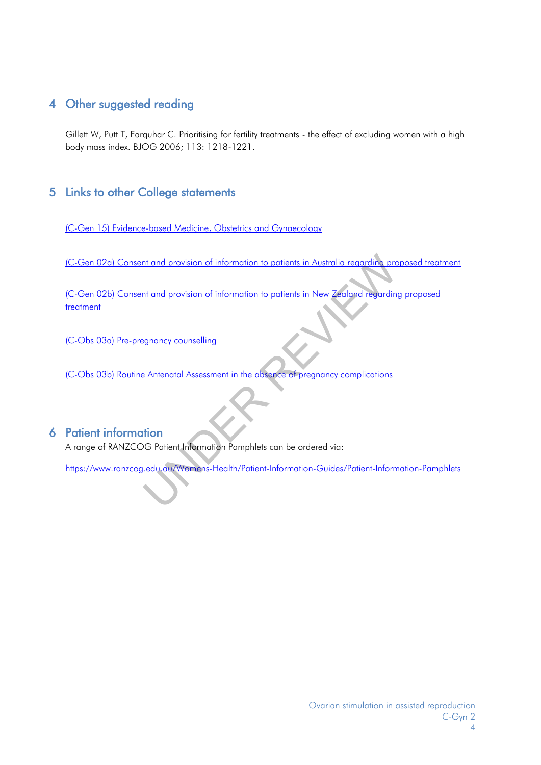## <span id="page-3-0"></span>4 Other suggested reading

Gillett W, Putt T, Farquhar C. Prioritising for fertility treatments - the effect of excluding women with a high body mass index. BJOG 2006; 113: 1218-1221.

## <span id="page-3-1"></span>5 Links to other College statements

[\(C-Gen 15\) Evidence-based Medicine, Obstetrics and Gynaecology](https://www.ranzcog.edu.au/RANZCOG_SITE/media/RANZCOG-MEDIA/Women%27s%20Health/Statement%20and%20guidelines/Clinical%20-%20General/Evidence-based-medicine,-Obstetrics-and-Gynaecology-(C-Gen-15)-Review-March-2016.pdf?ext=.pdf)

(C-Gen 02a) [Consent and provision of information to patients in Australia regarding proposed treatment](https://www.ranzcog.edu.au/RANZCOG_SITE/media/RANZCOG-MEDIA/Women%27s%20Health/Statement%20and%20guidelines/Clinical%20-%20General/Consent-and-provision-of-information-to-patients-in-Australia-(C-Gen-2a)-Review-July-2016.pdf?ext=.pdf)

(C-Gen 02b) Consent and provision of information to patients in New Zealand regarding proposed [treatment](https://www.ranzcog.edu.au/RANZCOG_SITE/media/RANZCOG-MEDIA/Women%27s%20Health/Statement%20and%20guidelines/Clinical%20-%20General/Consent-and-provision-of-information-NZ-(C-Gen-2b)-Review-March-2016.pdf?ext=.pdf) Note that and provision of information to patients in Australia regarding provision of information to patients in New Zealand regarding<br>Entant and provision of information to patients in New Zealand regarding<br>Entant of Pat

(C-Obs 03a) Pre-pregnancy counselling

(C-Obs 03b) Routine Antenatal Assessment in the absence of pregnancy complications

## <span id="page-3-2"></span>6 Patient information

A range of RANZCOG Patient Information Pamphlets can be ordered via:

<https://www.ranzcog.edu.au/Womens-Health/Patient-Information-Guides/Patient-Information-Pamphlets>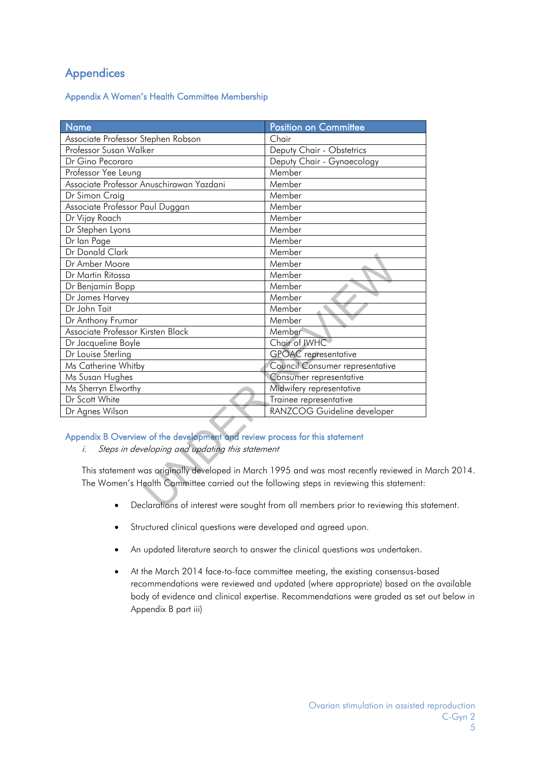## Appendices

## <span id="page-4-0"></span>Appendix A Women's Health Committee Membership

| <b>Name</b>                                                                                                                                                                          | <b>Position on Committee</b>    |  |  |  |  |
|--------------------------------------------------------------------------------------------------------------------------------------------------------------------------------------|---------------------------------|--|--|--|--|
| Associate Professor Stephen Robson                                                                                                                                                   | Chair                           |  |  |  |  |
| Professor Susan Walker                                                                                                                                                               | Deputy Chair - Obstetrics       |  |  |  |  |
| Dr Gino Pecoraro                                                                                                                                                                     | Deputy Chair - Gynaecology      |  |  |  |  |
| Professor Yee Leung                                                                                                                                                                  | Member                          |  |  |  |  |
| Associate Professor Anuschirawan Yazdani                                                                                                                                             | Member                          |  |  |  |  |
| Dr Simon Craig                                                                                                                                                                       | Member                          |  |  |  |  |
| Associate Professor Paul Duggan                                                                                                                                                      | Member                          |  |  |  |  |
| Dr Vijay Roach                                                                                                                                                                       | Member                          |  |  |  |  |
| Dr Stephen Lyons                                                                                                                                                                     | Member                          |  |  |  |  |
| Dr Ian Page                                                                                                                                                                          | Member                          |  |  |  |  |
| Dr Donald Clark                                                                                                                                                                      | Member                          |  |  |  |  |
| Dr Amber Moore                                                                                                                                                                       | Member                          |  |  |  |  |
| Dr Martin Ritossa                                                                                                                                                                    | Member                          |  |  |  |  |
| Dr Benjamin Bopp                                                                                                                                                                     | Member                          |  |  |  |  |
| Dr James Harvey                                                                                                                                                                      | Member                          |  |  |  |  |
| Dr John Tait                                                                                                                                                                         | Member                          |  |  |  |  |
| Dr Anthony Frumar                                                                                                                                                                    | Member                          |  |  |  |  |
| Associate Professor Kirsten Black                                                                                                                                                    | Member                          |  |  |  |  |
| Dr Jacqueline Boyle                                                                                                                                                                  | Chair of IWHC                   |  |  |  |  |
| Dr Louise Sterling                                                                                                                                                                   | <b>GPOAC</b> representative     |  |  |  |  |
| Ms Catherine Whitby                                                                                                                                                                  | Council Consumer representative |  |  |  |  |
| Ms Susan Hughes                                                                                                                                                                      | Consumer representative         |  |  |  |  |
| Ms Sherryn Elworthy                                                                                                                                                                  | Midwifery representative        |  |  |  |  |
| Dr Scott White                                                                                                                                                                       | Trainee representative          |  |  |  |  |
| Dr Agnes Wilson                                                                                                                                                                      | RANZCOG Guideline developer     |  |  |  |  |
| Appendix B Overview of the development and review process for this statement                                                                                                         |                                 |  |  |  |  |
| Steps in developing and updating this statement<br>i.                                                                                                                                |                                 |  |  |  |  |
| This statement was originally developed in March 1995 and was most recently reviewed in<br>The Women's Health Committee carried out the following steps in reviewing this statement: |                                 |  |  |  |  |
| Declarations of interest were sought from all members prior to reviewing this st                                                                                                     |                                 |  |  |  |  |

## Appendix B Overview of the development and review process for this statement

This statement was originally developed in March 1995 and was most recently reviewed in March 2014. The Women's Health Committee carried out the following steps in reviewing this statement:

- <span id="page-4-1"></span>Declarations of interest were sought from all members prior to reviewing this statement.
- Structured clinical questions were developed and agreed upon.
- An updated literature search to answer the clinical questions was undertaken.
- At the March 2014 face-to-face committee meeting, the existing consensus-based recommendations were reviewed and updated (where appropriate) based on the available body of evidence and clinical expertise. Recommendations were graded as set out below in Appendix B part iii)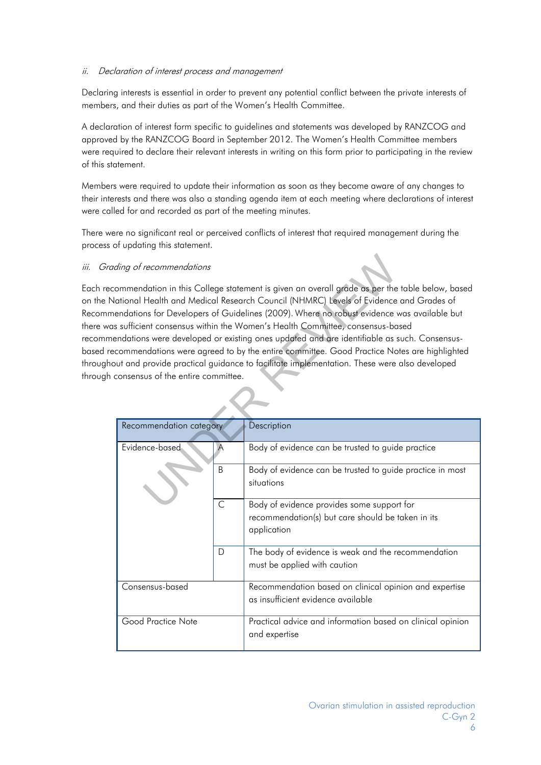#### ii. Declaration of interest process and management

Declaring interests is essential in order to prevent any potential conflict between the private interests of members, and their duties as part of the Women's Health Committee.

A declaration of interest form specific to guidelines and statements was developed by RANZCOG and approved by the RANZCOG Board in September 2012. The Women's Health Committee members were required to declare their relevant interests in writing on this form prior to participating in the review of this statement.

Members were required to update their information as soon as they become aware of any changes to their interests and there was also a standing agenda item at each meeting where declarations of interest were called for and recorded as part of the meeting minutes.

There were no significant real or perceived conflicts of interest that required management during the process of updating this statement.

#### iii. Grading of recommendations

Each recommendation in this College statement is given an overall grade as per the table below, based on the National Health and Medical Research Council (NHMRC) Levels of Evidence and Grades of Recommendations for Developers of Guidelines (2009). Where no robust evidence was available but there was sufficient consensus within the Women's Health Committee, consensus-based recommendations were developed or existing ones updated and are identifiable as such. Consensusbased recommendations were agreed to by the entire committee. Good Practice Notes are highlighted throughout and provide practical guidance to facilitate implementation. These were also developed through consensus of the entire committee. From this College statement is given an overall grade as per the<br>
Health and Medical Research Council (NHMRC) Levels of Evidence<br>
Ins for Developers of Guidelines (2009). Where no robust evidence<br>
and consensus within the

| Recommendation category |              | Description                                                                                                    |  |  |  |
|-------------------------|--------------|----------------------------------------------------------------------------------------------------------------|--|--|--|
| Evidence-based          |              | Body of evidence can be trusted to guide practice                                                              |  |  |  |
|                         | R            | Body of evidence can be trusted to guide practice in most<br>situations                                        |  |  |  |
|                         | $\mathsf{C}$ | Body of evidence provides some support for<br>recommendation(s) but care should be taken in its<br>application |  |  |  |
|                         | D            | The body of evidence is weak and the recommendation<br>must be applied with caution                            |  |  |  |
| Consensus-based         |              | Recommendation based on clinical opinion and expertise<br>as insufficient evidence available                   |  |  |  |
| Good Practice Note      |              | Practical advice and information based on clinical opinion<br>and expertise                                    |  |  |  |